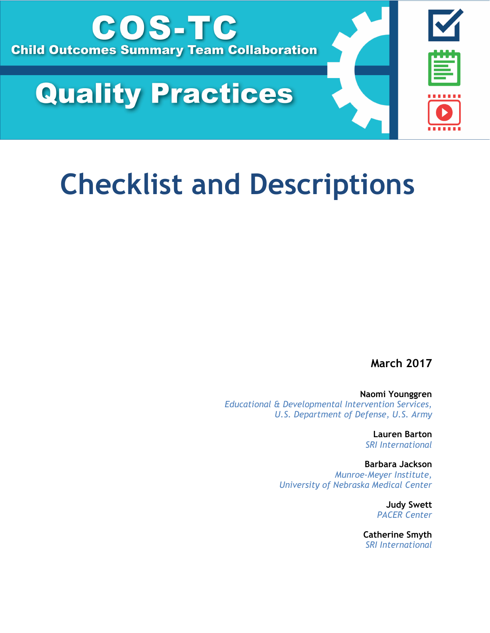

# **Quality Practices**

# **Checklist and Descriptions**

**March 2017**

**Naomi Younggren** *Educational & Developmental Intervention Services, U.S. Department of Defense, U.S. Army*

> **Lauren Barton** *SRI International*

**Barbara Jackson** *Munroe-Meyer Institute, University of Nebraska Medical Center*

> **Judy Swett** *PACER Center*

**Catherine Smyth** *SRI International*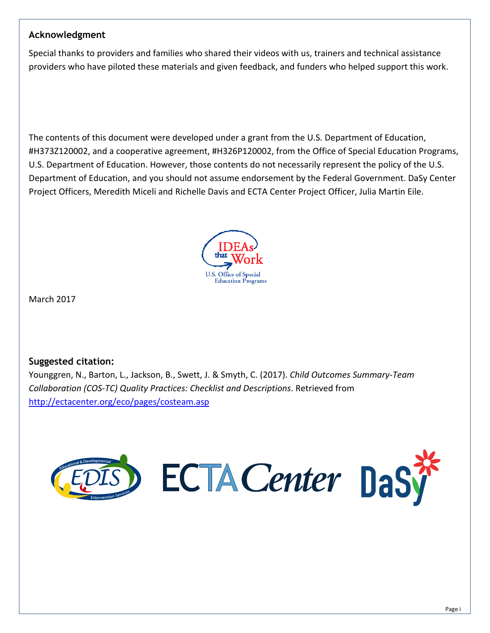## **Acknowledgment**

Special thanks to providers and families who shared their videos with us, trainers and technical assistance providers who have piloted these materials and given feedback, and funders who helped support this work.

The contents of this document were developed under a grant from the U.S. Department of Education, #H373Z120002, and a cooperative agreement, #H326P120002, from the Office of Special Education Programs, U.S. Department of Education. However, those contents do not necessarily represent the policy of the U.S. Department of Education, and you should not assume endorsement by the Federal Government. DaSy Center Project Officers, Meredith Miceli and Richelle Davis and ECTA Center Project Officer, Julia Martin Eile.



March 2017

## **Suggested citation:**

Younggren, N., Barton, L., Jackson, B., Swett, J. & Smyth, C. (2017). *Child Outcomes Summary-Team Collaboration (COS-TC) Quality Practices: Checklist and Descriptions*. Retrieved from <http://ectacenter.org/eco/pages/costeam.asp>

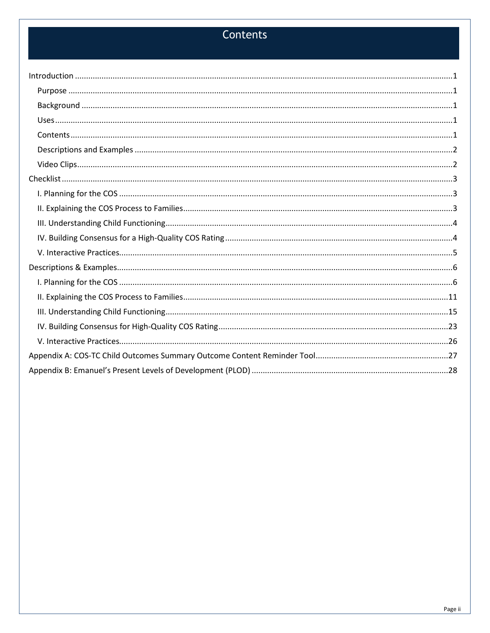## Contents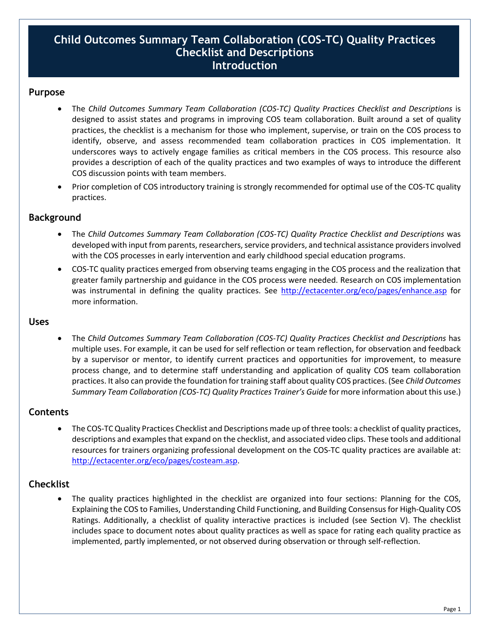## **Child Outcomes Summary Team Collaboration (COS-TC) Quality Practices Checklist and Descriptions Introduction**

#### <span id="page-4-1"></span><span id="page-4-0"></span>**Purpose**

- The *Child Outcomes Summary Team Collaboration (COS-TC) Quality Practices Checklist and Descriptions* is designed to assist states and programs in improving COS team collaboration. Built around a set of quality practices, the checklist is a mechanism for those who implement, supervise, or train on the COS process to identify, observe, and assess recommended team collaboration practices in COS implementation. It underscores ways to actively engage families as critical members in the COS process. This resource also provides a description of each of the quality practices and two examples of ways to introduce the different COS discussion points with team members.
- Prior completion of COS introductory training is strongly recommended for optimal use of the COS-TC quality practices.

## <span id="page-4-2"></span>**Background**

- The *Child Outcomes Summary Team Collaboration (COS-TC) Quality Practice Checklist and Descriptions* was developed with input from parents, researchers, service providers, and technical assistance providers involved with the COS processes in early intervention and early childhood special education programs.
- COS-TC quality practices emerged from observing teams engaging in the COS process and the realization that greater family partnership and guidance in the COS process were needed. Research on COS implementation was instrumental in defining the quality practices. See<http://ectacenter.org/eco/pages/enhance.asp> for more information.

#### <span id="page-4-3"></span>**Uses**

• The *Child Outcomes Summary Team Collaboration (COS-TC) Quality Practices Checklist and Descriptions* has multiple uses. For example, it can be used for self reflection or team reflection, for observation and feedback by a supervisor or mentor, to identify current practices and opportunities for improvement, to measure process change, and to determine staff understanding and application of quality COS team collaboration practices. It also can provide the foundation for training staff about quality COS practices. (See *Child Outcomes Summary Team Collaboration (COS-TC) Quality Practices Trainer's Guide* for more information about this use.)

#### <span id="page-4-4"></span>**Contents**

• The COS-TCQuality Practices Checklist and Descriptions made up of three tools: a checklist of quality practices, descriptions and examples that expand on the checklist, and associated video clips. These tools and additional resources for trainers organizing professional development on the COS-TC quality practices are available at: [http://ectacenter.org/eco/pages/costeam.asp.](http://ectacenter.org/eco/pages/costeam.asp)

## **Checklist**

• The quality practices highlighted in the checklist are organized into four sections: Planning for the COS, Explaining the COS to Families, Understanding Child Functioning, and Building Consensus for High-Quality COS Ratings. Additionally, a checklist of quality interactive practices is included (see Section V). The checklist includes space to document notes about quality practices as well as space for rating each quality practice as implemented, partly implemented, or not observed during observation or through self-reflection.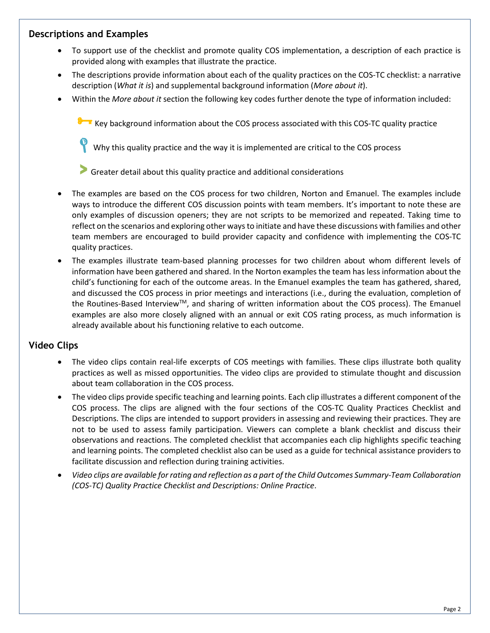## <span id="page-5-0"></span>**Descriptions and Examples**

- To support use of the checklist and promote quality COS implementation, a description of each practice is provided along with examples that illustrate the practice.
- The descriptions provide information about each of the quality practices on the COS-TC checklist: a narrative description (*What it is*) and supplemental background information (*More about it*).
- Within the *More about it* section the following key codes further denote the type of information included:

Key background information about the COS process associated with this COS-TC quality practice

Why this quality practice and the way it is implemented are critical to the COS process

**>** Greater detail about this quality practice and additional considerations

- The examples are based on the COS process for two children, Norton and Emanuel. The examples include ways to introduce the different COS discussion points with team members. It's important to note these are only examples of discussion openers; they are not scripts to be memorized and repeated. Taking time to reflect on the scenarios and exploring other ways to initiate and have these discussions with families and other team members are encouraged to build provider capacity and confidence with implementing the COS-TC quality practices.
- The examples illustrate team-based planning processes for two children about whom different levels of information have been gathered and shared. In the Norton examples the team has less information about the child's functioning for each of the outcome areas. In the Emanuel examples the team has gathered, shared, and discussed the COS process in prior meetings and interactions (i.e., during the evaluation, completion of the Routines-Based Interview™, and sharing of written information about the COS process). The Emanuel examples are also more closely aligned with an annual or exit COS rating process, as much information is already available about his functioning relative to each outcome.

#### <span id="page-5-1"></span>**Video Clips**

- The video clips contain real-life excerpts of COS meetings with families. These clips illustrate both quality practices as well as missed opportunities. The video clips are provided to stimulate thought and discussion about team collaboration in the COS process.
- The video clips provide specific teaching and learning points. Each clip illustrates a different component of the COS process. The clips are aligned with the four sections of the COS-TC Quality Practices Checklist and Descriptions. The clips are intended to support providers in assessing and reviewing their practices. They are not to be used to assess family participation. Viewers can complete a blank checklist and discuss their observations and reactions. The completed checklist that accompanies each clip highlights specific teaching and learning points. The completed checklist also can be used as a guide for technical assistance providers to facilitate discussion and reflection during training activities.
- *Video clips are available for rating and reflection as a part of the Child Outcomes Summary-Team Collaboration (COS-TC) Quality Practice Checklist and Descriptions: Online Practice*.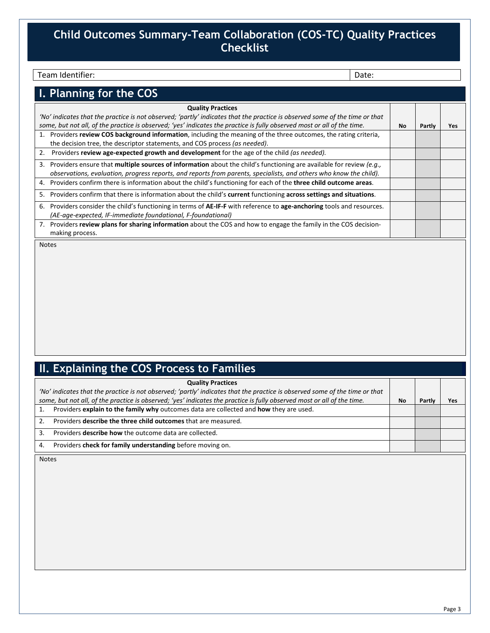## <span id="page-6-0"></span>**Child Outcomes Summary-Team Collaboration (COS-TC) Quality Practices Checklist**

#### Team Identifier: Note: 2008 and 2009 and 2009 and 2009 and 2009 and 2009 and 2009 and 2009 and 2009 and 2009 and 2009 and 2009 and 2009 and 2009 and 2009 and 2009 and 2009 and 2009 and 2009 and 2009 and 2009 and 2009 and 2

<span id="page-6-1"></span>

| I. Planning for the COS                                                                                                     |    |        |      |
|-----------------------------------------------------------------------------------------------------------------------------|----|--------|------|
| <b>Quality Practices</b>                                                                                                    |    |        |      |
| 'No' indicates that the practice is not observed; 'partly' indicates that the practice is observed some of the time or that |    |        |      |
| some, but not all, of the practice is observed; 'yes' indicates the practice is fully observed most or all of the time.     | No | Partly | Yes. |
| 1. Providers review COS background information, including the meaning of the three outcomes, the rating criteria,           |    |        |      |
| the decision tree, the descriptor statements, and COS process (as needed).                                                  |    |        |      |
| Providers review age-expected growth and development for the age of the child (as needed).<br>2.                            |    |        |      |
| 3. Providers ensure that multiple sources of information about the child's functioning are available for review (e.g.,      |    |        |      |
| observations, evaluation, progress reports, and reports from parents, specialists, and others who know the child).          |    |        |      |
| Providers confirm there is information about the child's functioning for each of the three child outcome areas.<br>4.       |    |        |      |
| 5. Providers confirm that there is information about the child's current functioning across settings and situations.        |    |        |      |
| Providers consider the child's functioning in terms of AE-IF-F with reference to age-anchoring tools and resources.<br>6.   |    |        |      |
| (AE-age-expected, IF-immediate foundational, F-foundational)                                                                |    |        |      |
| 7. Providers review plans for sharing information about the COS and how to engage the family in the COS decision-           |    |        |      |
| making process.                                                                                                             |    |        |      |

Notes

## <span id="page-6-2"></span>**II. Explaining the COS Process to Families**

| <b>Quality Practices</b>                                                                                                    |           |        |     |
|-----------------------------------------------------------------------------------------------------------------------------|-----------|--------|-----|
| 'No' indicates that the practice is not observed; 'partly' indicates that the practice is observed some of the time or that |           |        |     |
| some, but not all, of the practice is observed; 'yes' indicates the practice is fully observed most or all of the time.     | <b>No</b> | Partly | Yes |
| Providers explain to the family why outcomes data are collected and how they are used.                                      |           |        |     |
| Providers describe the three child outcomes that are measured.<br>2.                                                        |           |        |     |
| Providers <b>describe how</b> the outcome data are collected.<br>3.                                                         |           |        |     |
| Providers check for family understanding before moving on.<br>4.                                                            |           |        |     |

Notes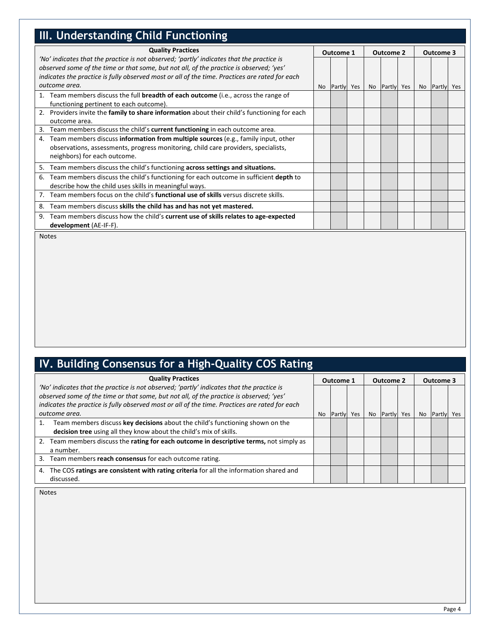<span id="page-7-0"></span>

| <b>III. Understanding Child Functioning</b>                                                                                                                                                                                                                                                                        |  |               |  |  |               |  |           |               |  |
|--------------------------------------------------------------------------------------------------------------------------------------------------------------------------------------------------------------------------------------------------------------------------------------------------------------------|--|---------------|--|--|---------------|--|-----------|---------------|--|
| <b>Quality Practices</b><br>'No' indicates that the practice is not observed; 'partly' indicates that the practice is<br>observed some of the time or that some, but not all, of the practice is observed; 'yes'<br>indicates the practice is fully observed most or all of the time. Practices are rated for each |  | Outcome 1     |  |  | Outcome 2     |  | Outcome 3 |               |  |
| outcome area.                                                                                                                                                                                                                                                                                                      |  | No Partly Yes |  |  | No Partly Yes |  |           | No Partly Yes |  |
| 1. Team members discuss the full <b>breadth of each outcome</b> (i.e., across the range of<br>functioning pertinent to each outcome).                                                                                                                                                                              |  |               |  |  |               |  |           |               |  |
| Providers invite the family to share information about their child's functioning for each<br>2.<br>outcome area.                                                                                                                                                                                                   |  |               |  |  |               |  |           |               |  |
| Team members discuss the child's current functioning in each outcome area.<br>3.                                                                                                                                                                                                                                   |  |               |  |  |               |  |           |               |  |
| Team members discuss information from multiple sources (e.g., family input, other<br>4.<br>observations, assessments, progress monitoring, child care providers, specialists,<br>neighbors) for each outcome.                                                                                                      |  |               |  |  |               |  |           |               |  |
| Team members discuss the child's functioning across settings and situations.<br>5.                                                                                                                                                                                                                                 |  |               |  |  |               |  |           |               |  |
| Team members discuss the child's functioning for each outcome in sufficient depth to<br>6.<br>describe how the child uses skills in meaningful ways.                                                                                                                                                               |  |               |  |  |               |  |           |               |  |
| Team members focus on the child's <b>functional use of skills</b> versus discrete skills.<br>7.                                                                                                                                                                                                                    |  |               |  |  |               |  |           |               |  |
| Team members discuss skills the child has and has not yet mastered.<br>8.                                                                                                                                                                                                                                          |  |               |  |  |               |  |           |               |  |
| Team members discuss how the child's current use of skills relates to age-expected<br>9.<br>development (AE-IF-F).                                                                                                                                                                                                 |  |               |  |  |               |  |           |               |  |

Notes

## <span id="page-7-1"></span>**IV. Building Consensus for a High-Quality COS Rating**

| <b>Quality Practices</b>                                                                                                                                                                                                                                                               |           | Outcome 1 |     |           | Outcome 2 |     | Outcome 3 |                |     |
|----------------------------------------------------------------------------------------------------------------------------------------------------------------------------------------------------------------------------------------------------------------------------------------|-----------|-----------|-----|-----------|-----------|-----|-----------|----------------|-----|
| 'No' indicates that the practice is not observed; 'partly' indicates that the practice is<br>observed some of the time or that some, but not all, of the practice is observed; 'yes'<br>indicates the practice is fully observed most or all of the time. Practices are rated for each |           |           |     |           |           |     |           |                |     |
| outcome area.                                                                                                                                                                                                                                                                          | <b>No</b> | Partly    | Yes | <b>No</b> | Partly    | Yes | No.       | <b>IPartly</b> | Yes |
| Team members discuss key decisions about the child's functioning shown on the<br>decision tree using all they know about the child's mix of skills.                                                                                                                                    |           |           |     |           |           |     |           |                |     |
| 2. Team members discuss the rating for each outcome in descriptive terms, not simply as<br>a number.                                                                                                                                                                                   |           |           |     |           |           |     |           |                |     |
| Team members reach consensus for each outcome rating.<br>3.                                                                                                                                                                                                                            |           |           |     |           |           |     |           |                |     |
| The COS ratings are consistent with rating criteria for all the information shared and<br>4.<br>discussed.                                                                                                                                                                             |           |           |     |           |           |     |           |                |     |

Notes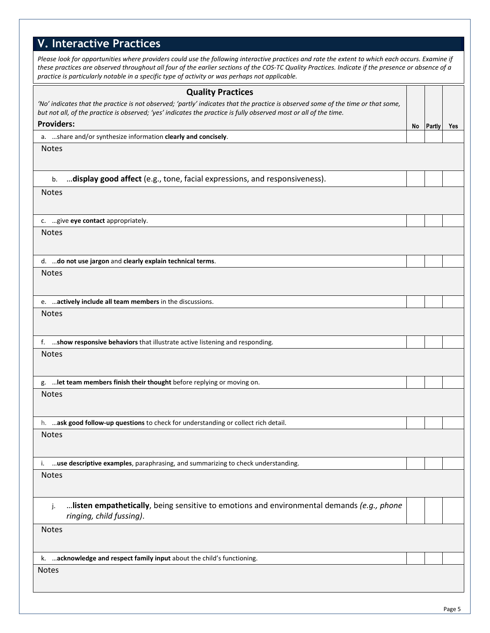<span id="page-8-0"></span>

| <b>V. Interactive Practices</b>                                                                                                                                                                                                                                                                                                                                                                          |    |        |     |
|----------------------------------------------------------------------------------------------------------------------------------------------------------------------------------------------------------------------------------------------------------------------------------------------------------------------------------------------------------------------------------------------------------|----|--------|-----|
| Please look for opportunities where providers could use the following interactive practices and rate the extent to which each occurs. Examine if<br>these practices are observed throughout all four of the earlier sections of the COS-TC Quality Practices. Indicate if the presence or absence of a<br>practice is particularly notable in a specific type of activity or was perhaps not applicable. |    |        |     |
| <b>Quality Practices</b>                                                                                                                                                                                                                                                                                                                                                                                 |    |        |     |
| 'No' indicates that the practice is not observed; 'partly' indicates that the practice is observed some of the time or that some,<br>but not all, of the practice is observed; 'yes' indicates the practice is fully observed most or all of the time.                                                                                                                                                   |    |        |     |
| <b>Providers:</b>                                                                                                                                                                                                                                                                                                                                                                                        | No | Partly | Yes |
| a. share and/or synthesize information clearly and concisely.                                                                                                                                                                                                                                                                                                                                            |    |        |     |
| <b>Notes</b>                                                                                                                                                                                                                                                                                                                                                                                             |    |        |     |
| display good affect (e.g., tone, facial expressions, and responsiveness).<br>b.                                                                                                                                                                                                                                                                                                                          |    |        |     |
| <b>Notes</b>                                                                                                                                                                                                                                                                                                                                                                                             |    |        |     |
| c.  give eye contact appropriately.                                                                                                                                                                                                                                                                                                                                                                      |    |        |     |
| <b>Notes</b>                                                                                                                                                                                                                                                                                                                                                                                             |    |        |     |
| d.  do not use jargon and clearly explain technical terms.                                                                                                                                                                                                                                                                                                                                               |    |        |     |
| <b>Notes</b>                                                                                                                                                                                                                                                                                                                                                                                             |    |        |     |
| e.  actively include all team members in the discussions.                                                                                                                                                                                                                                                                                                                                                |    |        |     |
| <b>Notes</b>                                                                                                                                                                                                                                                                                                                                                                                             |    |        |     |
| f.  show responsive behaviors that illustrate active listening and responding.                                                                                                                                                                                                                                                                                                                           |    |        |     |
| <b>Notes</b>                                                                                                                                                                                                                                                                                                                                                                                             |    |        |     |
| g.  let team members finish their thought before replying or moving on.                                                                                                                                                                                                                                                                                                                                  |    |        |     |
| <b>Notes</b>                                                                                                                                                                                                                                                                                                                                                                                             |    |        |     |
| h. ask good follow-up questions to check for understanding or collect rich detail.                                                                                                                                                                                                                                                                                                                       |    |        |     |
| <b>Notes</b>                                                                                                                                                                                                                                                                                                                                                                                             |    |        |     |
| i.  use descriptive examples, paraphrasing, and summarizing to check understanding.                                                                                                                                                                                                                                                                                                                      |    |        |     |
| <b>Notes</b>                                                                                                                                                                                                                                                                                                                                                                                             |    |        |     |
| listen empathetically, being sensitive to emotions and environmental demands (e.g., phone<br>j.<br>ringing, child fussing).                                                                                                                                                                                                                                                                              |    |        |     |
| <b>Notes</b>                                                                                                                                                                                                                                                                                                                                                                                             |    |        |     |
| k. acknowledge and respect family input about the child's functioning.                                                                                                                                                                                                                                                                                                                                   |    |        |     |
| <b>Notes</b>                                                                                                                                                                                                                                                                                                                                                                                             |    |        |     |
|                                                                                                                                                                                                                                                                                                                                                                                                          |    |        |     |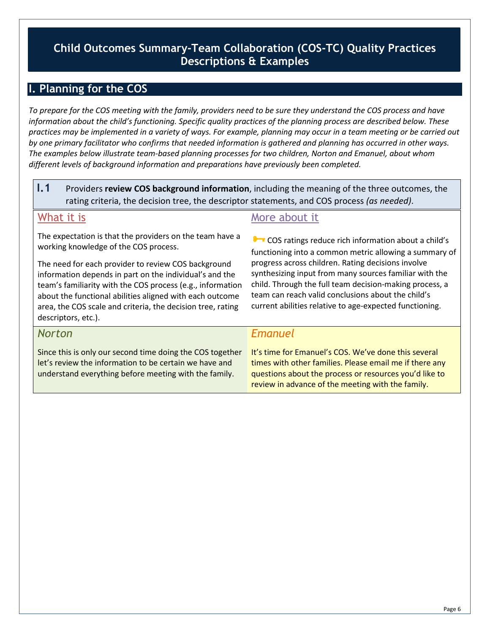## <span id="page-9-0"></span>**Child Outcomes Summary-Team Collaboration (COS-TC) Quality Practices Descriptions & Examples**

## <span id="page-9-1"></span>**I. Planning for the COS**

*To prepare for the COS meeting with the family, providers need to be sure they understand the COS process and have information about the child's functioning. Specific quality practices of the planning process are described below. These practices may be implemented in a variety of ways. For example, planning may occur in a team meeting or be carried out by one primary facilitator who confirms that needed information is gathered and planning has occurred in other ways. The examples below illustrate team-based planning processes for two children, Norton and Emanuel, about whom different levels of background information and preparations have previously been completed.* 

**I.1** Providers **review COS background information**, including the meaning of the three outcomes, the rating criteria, the decision tree, the descriptor statements, and COS process *(as needed)*.

## What it is

The expectation is that the providers on the team have a working knowledge of the COS process.

The need for each provider to review COS background information depends in part on the individual's and the team's familiarity with the COS process (e.g., information about the functional abilities aligned with each outcome area, the COS scale and criteria, the decision tree, rating descriptors, etc.).

## *Norton*

Since this is only our second time doing the COS together let's review the information to be certain we have and understand everything before meeting with the family.

## More about it

COS ratings reduce rich information about a child's functioning into a common metric allowing a summary of progress across children. Rating decisions involve synthesizing input from many sources familiar with the child. Through the full team decision-making process, a team can reach valid conclusions about the child's current abilities relative to age-expected functioning.

## *Emanuel*

It's time for Emanuel's COS. We've done this several times with other families. Please email me if there any questions about the process or resources you'd like to review in advance of the meeting with the family.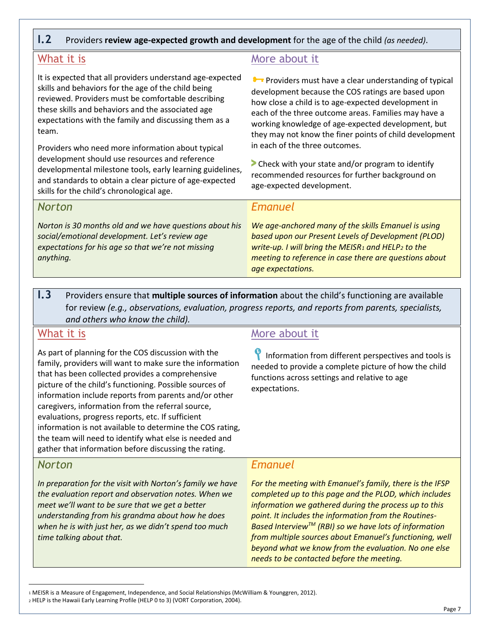## **I.2** Providers **review age-expected growth and development** for the age of the child *(as needed)*.

## What it is

It is expected that all providers understand age-expected skills and behaviors for the age of the child being reviewed. Providers must be comfortable describing these skills and behaviors and the associated age expectations with the family and discussing them as a team.

Providers who need more information about typical development should use resources and reference developmental milestone tools, early learning guidelines, and standards to obtain a clear picture of age-expected skills for the child's chronological age.

## *Norton*

*Norton is 30 months old and we have questions about his social/emotional development. Let's review age expectations for his age so that we're not missing anything.*

## More about it

**Providers must have a clear understanding of typical** development because the COS ratings are based upon how close a child is to age-expected development in each of the three outcome areas. Families may have a working knowledge of age-expected development, but they may not know the finer points of child development in each of the three outcomes.

**>** Check with your state and/or program to identify recommended resources for further background on age-expected development.

## *Emanuel*

*We age-anchored many of the skills Emanuel is using based upon our Present Levels of Development (PLOD) write-up. I will bring the MEISR[1](#page-10-0) and HELP[2](#page-10-1) to the meeting to reference in case there are questions about age expectations.* 

**I.3** Providers ensure that **multiple sources of information** about the child's functioning are available for review *(e.g., observations, evaluation, progress reports, and reports from parents, specialists, and others who know the child).*

## What it is

As part of planning for the COS discussion with the family, providers will want to make sure the information that has been collected provides a comprehensive picture of the child's functioning. Possible sources of information include reports from parents and/or other caregivers, information from the referral source, evaluations, progress reports, etc. If sufficient information is not available to determine the COS rating, the team will need to identify what else is needed and gather that information before discussing the rating.

## *Norton*

*In preparation for the visit with Norton's family we have the evaluation report and observation notes. When we meet we'll want to be sure that we get a better understanding from his grandma about how he does when he is with just her, as we didn't spend too much time talking about that.* 

## More about it

Information from different perspectives and tools is needed to provide a complete picture of how the child functions across settings and relative to age expectations.

## *Emanuel*

*For the meeting with Emanuel's family, there is the IFSP completed up to this page and the PLOD, which includes information we gathered during the process up to this point. It includes the information from the Routines-Based InterviewTM (RBI) so we have lots of information from multiple sources about Emanuel's functioning, well beyond what we know from the evaluation. No one else needs to be contacted before the meeting.*

<span id="page-10-1"></span><span id="page-10-0"></span> <sup>1</sup> MEISR is a Measure of Engagement, Independence, and Social Relationships (McWilliam & Younggren, 2012). <sup>2</sup> HELP is the Hawaii Early Learning Profile (HELP 0 to 3) (VORT Corporation, 2004).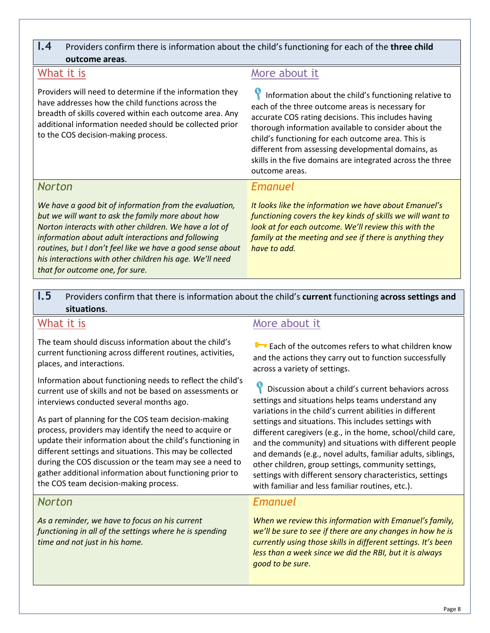## **I.4** Providers confirm there is information about the child's functioning for each of the **three child outcome areas**.

## What it is

Providers will need to determine if the information they have addresses how the child functions across the breadth of skills covered within each outcome area. Any additional information needed should be collected prior to the COS decision-making process.

## More about it

Information about the child's functioning relative to each of the three outcome areas is necessary for accurate COS rating decisions. This includes having thorough information available to consider about the child's functioning for each outcome area. This is different from assessing developmental domains, as skills in the five domains are integrated across the three outcome areas.

## *Norton*

*We have a good bit of information from the evaluation, but we will want to ask the family more about how Norton interacts with other children. We have a lot of information about adult interactions and following routines, but I don't feel like we have a good sense about his interactions with other children his age. We'll need that for outcome one, for sure.* 

## *Emanuel*

*It looks like the information we have about Emanuel's functioning covers the key kinds of skills we will want to look at for each outcome. We'll review this with the family at the meeting and see if there is anything they have to add.*

**I.5** Providers confirm that there is information about the child's **current** functioning **across settings and situations**.

## What it is

The team should discuss information about the child's current functioning across different routines, activities, places, and interactions.

Information about functioning needs to reflect the child's current use of skills and not be based on assessments or interviews conducted several months ago.

As part of planning for the COS team decision-making process, providers may identify the need to acquire or update their information about the child's functioning in different settings and situations. This may be collected during the COS discussion or the team may see a need to gather additional information about functioning prior to the COS team decision-making process.

## *Norton*

*As a reminder, we have to focus on his current functioning in all of the settings where he is spending time and not just in his home.* 

## More about it

**B** Each of the outcomes refers to what children know and the actions they carry out to function successfully across a variety of settings.

Discussion about a child's current behaviors across settings and situations helps teams understand any variations in the child's current abilities in different settings and situations. This includes settings with different caregivers (e.g., in the home, school/child care, and the community) and situations with different people and demands (e.g., novel adults, familiar adults, siblings, other children, group settings, community settings, settings with different sensory characteristics, settings with familiar and less familiar routines, etc.).

## *Emanuel*

*When we review this information with Emanuel's family, we'll be sure to see if there are any changes in how he is currently using those skills in different settings. It's been less than a week since we did the RBI, but it is always good to be sure.*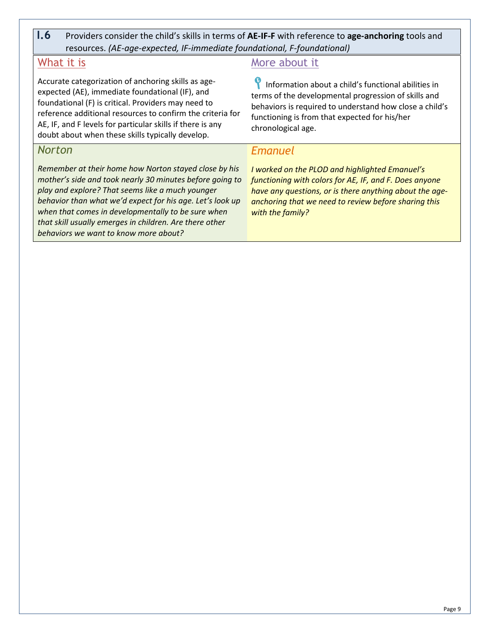**I.6** Providers consider the child's skills in terms of **AE-IF-F** with reference to **age-anchoring** tools and resources. *(AE-age-expected, IF-immediate foundational, F-foundational)*

## What it is

Accurate categorization of anchoring skills as ageexpected (AE), immediate foundational (IF), and foundational (F) is critical. Providers may need to reference additional resources to confirm the criteria for AE, IF, and F levels for particular skills if there is any doubt about when these skills typically develop.

## *Norton*

*Remember at their home how Norton stayed close by his mother's side and took nearly 30 minutes before going to play and explore? That seems like a much younger behavior than what we'd expect for his age. Let's look up when that comes in developmentally to be sure when that skill usually emerges in children. Are there other behaviors we want to know more about?*

## More about it

Information about a child's functional abilities in terms of the developmental progression of skills and behaviors is required to understand how close a child's functioning is from that expected for his/her chronological age.

## *Emanuel*

*I worked on the PLOD and highlighted Emanuel's functioning with colors for AE, IF, and F. Does anyone have any questions, or is there anything about the ageanchoring that we need to review before sharing this with the family?*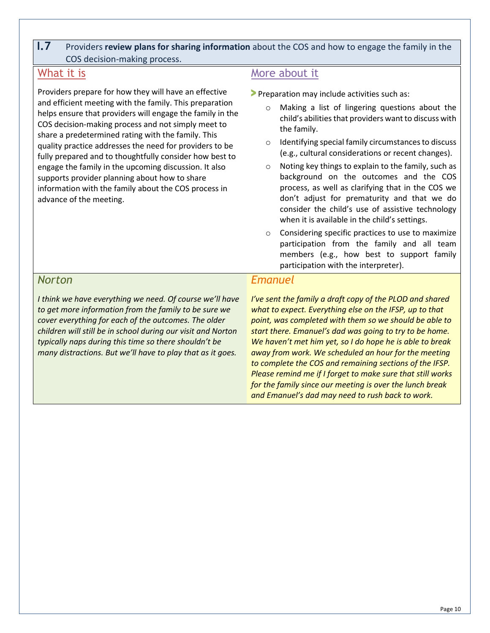## **I.7** Providers **review plans for sharing information** about the COS and how to engage the family in the COS decision-making process.

## What it is

Providers prepare for how they will have an effective and efficient meeting with the family. This preparation helps ensure that providers will engage the family in the COS decision-making process and not simply meet to share a predetermined rating with the family. This quality practice addresses the need for providers to be fully prepared and to thoughtfully consider how best to engage the family in the upcoming discussion. It also supports provider planning about how to share information with the family about the COS process in advance of the meeting.

## More about it

**>** Preparation may include activities such as:

- o Making a list of lingering questions about the child's abilities that providers want to discuss with the family.
- o Identifying special family circumstances to discuss (e.g., cultural considerations or recent changes).
- o Noting key things to explain to the family, such as background on the outcomes and the COS process, as well as clarifying that in the COS we don't adjust for prematurity and that we do consider the child's use of assistive technology when it is available in the child's settings.
- o Considering specific practices to use to maximize participation from the family and all team members (e.g., how best to support family participation with the interpreter).

## *Norton*

*I think we have everything we need. Of course we'll have to get more information from the family to be sure we cover everything for each of the outcomes. The older children will still be in school during our visit and Norton typically naps during this time so there shouldn't be many distractions. But we'll have to play that as it goes.*

### *Emanuel*

*I've sent the family a draft copy of the PLOD and shared what to expect. Everything else on the IFSP, up to that point, was completed with them so we should be able to start there. Emanuel's dad was going to try to be home. We haven't met him yet, so I do hope he is able to break away from work. We scheduled an hour for the meeting to complete the COS and remaining sections of the IFSP. Please remind me if I forget to make sure that still works for the family since our meeting is over the lunch break and Emanuel's dad may need to rush back to work.*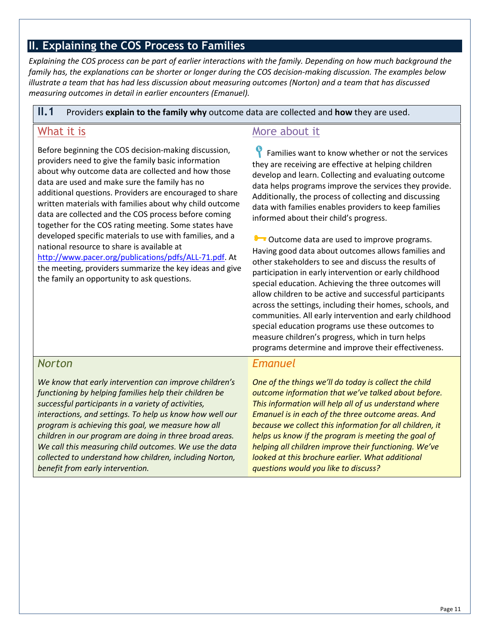## <span id="page-14-0"></span>**II. Explaining the COS Process to Families**

*Explaining the COS process can be part of earlier interactions with the family. Depending on how much background the family has, the explanations can be shorter or longer during the COS decision-making discussion. The examples below illustrate a team that has had less discussion about measuring outcomes (Norton) and a team that has discussed measuring outcomes in detail in earlier encounters (Emanuel).* 

#### **II.1** Providers **explain to the family why** outcome data are collected and **how** they are used.

## What it is

Before beginning the COS decision-making discussion, providers need to give the family basic information about why outcome data are collected and how those data are used and make sure the family has no additional questions. Providers are encouraged to share written materials with families about why child outcome data are collected and the COS process before coming together for the COS rating meeting. Some states have developed specific materials to use with families, and a national resource to share is available at

[http://www.pacer.org/publications/pdfs/ALL-71.pdf.](http://www.pacer.org/publications/pdfs/ALL-71.pdf) At the meeting, providers summarize the key ideas and give the family an opportunity to ask questions.

## More about it

**P** Families want to know whether or not the services they are receiving are effective at helping children develop and learn. Collecting and evaluating outcome data helps programs improve the services they provide. Additionally, the process of collecting and discussing data with families enables providers to keep families informed about their child's progress.

Outcome data are used to improve programs. Having good data about outcomes allows families and other stakeholders to see and discuss the results of participation in early intervention or early childhood special education. Achieving the three outcomes will allow children to be active and successful participants across the settings, including their homes, schools, and communities. All early intervention and early childhood special education programs use these outcomes to measure children's progress, which in turn helps programs determine and improve their effectiveness.

## *Norton*

*We know that early intervention can improve children's functioning by helping families help their children be successful participants in a variety of activities, interactions, and settings. To help us know how well our program is achieving this goal, we measure how all children in our program are doing in three broad areas. We call this measuring child outcomes. We use the data collected to understand how children, including Norton, benefit from early intervention.*

## *Emanuel*

*One of the things we'll do today is collect the child outcome information that we've talked about before. This information will help all of us understand where Emanuel is in each of the three outcome areas. And because we collect this information for all children, it helps us know if the program is meeting the goal of helping all children improve their functioning. We've looked at this brochure earlier. What additional questions would you like to discuss?*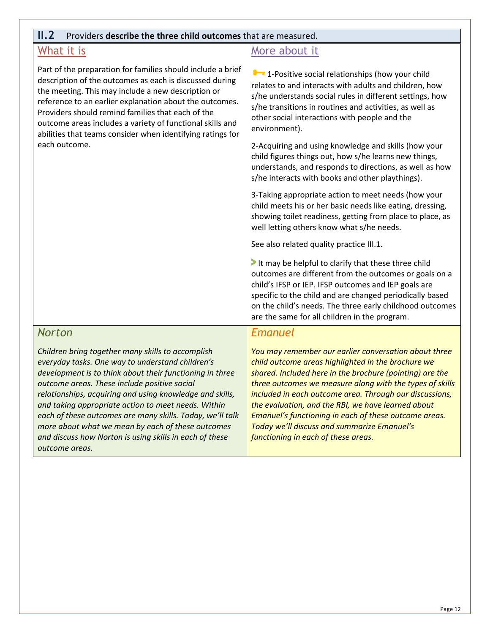#### **II.2** Providers **describe the three child outcomes** that are measured.

## What it is

Part of the preparation for families should include a brief description of the outcomes as each is discussed during the meeting. This may include a new description or reference to an earlier explanation about the outcomes. Providers should remind families that each of the outcome areas includes a variety of functional skills and abilities that teams consider when identifying ratings for each outcome.

## More about it

**1** - Positive social relationships (how your child relates to and interacts with adults and children, how s/he understands social rules in different settings, how s/he transitions in routines and activities, as well as other social interactions with people and the environment).

2-Acquiring and using knowledge and skills (how your child figures things out, how s/he learns new things, understands, and responds to directions, as well as how s/he interacts with books and other playthings).

3-Taking appropriate action to meet needs (how your child meets his or her basic needs like eating, dressing, showing toilet readiness, getting from place to place, as well letting others know what s/he needs.

See also related quality practice III.1.

**>** It may be helpful to clarify that these three child outcomes are different from the outcomes or goals on a child's IFSP or IEP. IFSP outcomes and IEP goals are specific to the child and are changed periodically based on the child's needs. The three early childhood outcomes are the same for all children in the program.

#### *Norton*

*Children bring together many skills to accomplish everyday tasks. One way to understand children's development is to think about their functioning in three outcome areas. These include positive social relationships, acquiring and using knowledge and skills, and taking appropriate action to meet needs. Within each of these outcomes are many skills. Today, we'll talk more about what we mean by each of these outcomes and discuss how Norton is using skills in each of these outcome areas.*

#### *Emanuel*

*You may remember our earlier conversation about three child outcome areas highlighted in the brochure we shared. Included here in the brochure (pointing) are the three outcomes we measure along with the types of skills included in each outcome area. Through our discussions, the evaluation, and the RBI, we have learned about Emanuel's functioning in each of these outcome areas. Today we'll discuss and summarize Emanuel's functioning in each of these areas.*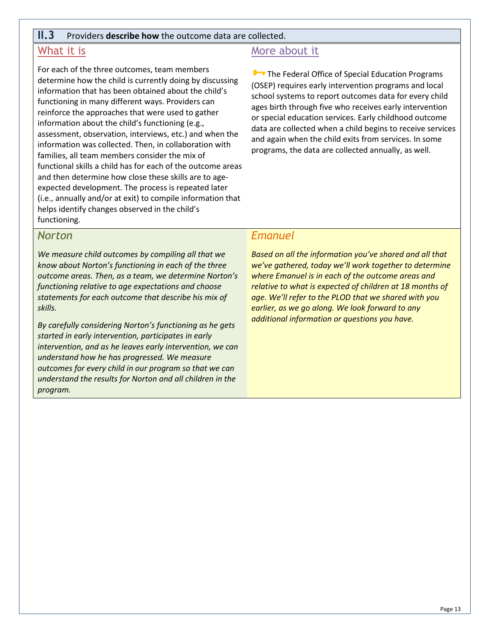#### **II.3** Providers **describe how** the outcome data are collected.

## What it is

For each of the three outcomes, team members determine how the child is currently doing by discussing information that has been obtained about the child's functioning in many different ways. Providers can reinforce the approaches that were used to gather information about the child's functioning (e.g., assessment, observation, interviews, etc.) and when the information was collected. Then, in collaboration with families, all team members consider the mix of functional skills a child has for each of the outcome areas and then determine how close these skills are to ageexpected development. The process is repeated later (i.e., annually and/or at exit) to compile information that helps identify changes observed in the child's functioning.

## More about it

**Com** The Federal Office of Special Education Programs (OSEP) requires early intervention programs and local school systems to report outcomes data for every child ages birth through five who receives early intervention or special education services. Early childhood outcome data are collected when a child begins to receive services and again when the child exits from services. In some programs, the data are collected annually, as well.

#### *Norton*

*We measure child outcomes by compiling all that we know about Norton's functioning in each of the three outcome areas. Then, as a team, we determine Norton's functioning relative to age expectations and choose statements for each outcome that describe his mix of skills.* 

*By carefully considering Norton's functioning as he gets started in early intervention, participates in early intervention, and as he leaves early intervention, we can understand how he has progressed. We measure outcomes for every child in our program so that we can understand the results for Norton and all children in the program.* 

#### *Emanuel*

*Based on all the information you've shared and all that we've gathered, today we'll work together to determine where Emanuel is in each of the outcome areas and relative to what is expected of children at 18 months of age. We'll refer to the PLOD that we shared with you earlier, as we go along. We look forward to any additional information or questions you have.*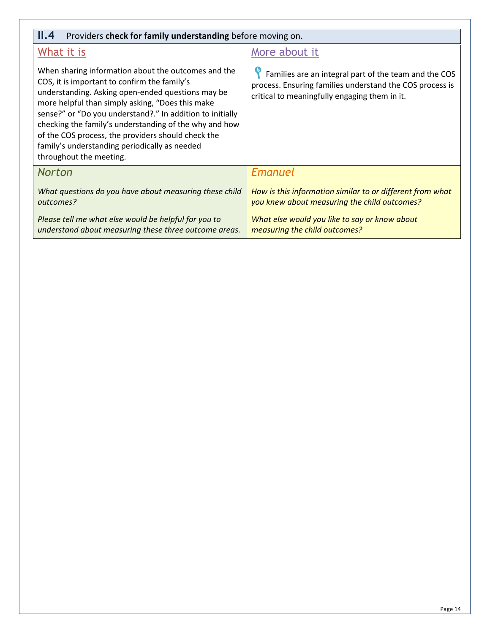| II.4<br>Providers check for family understanding before moving on.                                                                                                                                                                                                                                                                                                                                                                                                    |                                                                                                                                                                    |  |  |  |  |  |  |  |  |
|-----------------------------------------------------------------------------------------------------------------------------------------------------------------------------------------------------------------------------------------------------------------------------------------------------------------------------------------------------------------------------------------------------------------------------------------------------------------------|--------------------------------------------------------------------------------------------------------------------------------------------------------------------|--|--|--|--|--|--|--|--|
| What it is                                                                                                                                                                                                                                                                                                                                                                                                                                                            | More about it                                                                                                                                                      |  |  |  |  |  |  |  |  |
| When sharing information about the outcomes and the<br>COS, it is important to confirm the family's<br>understanding. Asking open-ended questions may be<br>more helpful than simply asking, "Does this make<br>sense?" or "Do you understand?." In addition to initially<br>checking the family's understanding of the why and how<br>of the COS process, the providers should check the<br>family's understanding periodically as needed<br>throughout the meeting. | Families are an integral part of the team and the COS<br>process. Ensuring families understand the COS process is<br>critical to meaningfully engaging them in it. |  |  |  |  |  |  |  |  |
| <b>Norton</b>                                                                                                                                                                                                                                                                                                                                                                                                                                                         | Emanuel                                                                                                                                                            |  |  |  |  |  |  |  |  |
| What questions do you have about measuring these child<br>outcomes?                                                                                                                                                                                                                                                                                                                                                                                                   | How is this information similar to or different from what<br>you knew about measuring the child outcomes?                                                          |  |  |  |  |  |  |  |  |
| Please tell me what else would be helpful for you to<br>understand about measuring these three outcome areas.                                                                                                                                                                                                                                                                                                                                                         | What else would you like to say or know about<br>measuring the child outcomes?                                                                                     |  |  |  |  |  |  |  |  |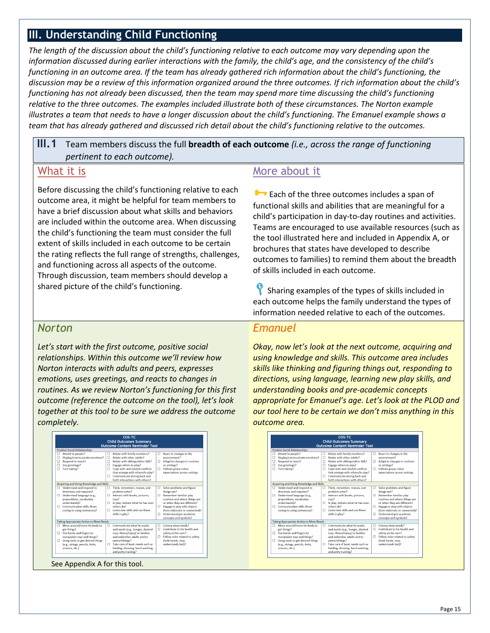## <span id="page-18-0"></span>**III. Understanding Child Functioning**

*The length of the discussion about the child's functioning relative to each outcome may vary depending upon the information discussed during earlier interactions with the family, the child's age, and the consistency of the child's functioning in an outcome area. If the team has already gathered rich information about the child's functioning, the discussion may be a review of this information organized around the three outcomes. If rich information about the child's functioning has not already been discussed, then the team may spend more time discussing the child's functioning relative to the three outcomes. The examples included illustrate both of these circumstances. The Norton example illustrates a team that needs to have a longer discussion about the child's functioning. The Emanuel example shows a team that has already gathered and discussed rich detail about the child's functioning relative to the outcomes.*

## **III.1** Team members discuss the full **breadth of each outcome** *(i.e., across the range of functioning pertinent to each outcome).*

## What it is

Before discussing the child's functioning relative to each outcome area, it might be helpful for team members to have a brief discussion about what skills and behaviors are included within the outcome area. When discussing the child's functioning the team must consider the full extent of skills included in each outcome to be certain the rating reflects the full range of strengths, challenges, and functioning across all aspects of the outcome. Through discussion, team members should develop a shared picture of the child's functioning.

## *Norton*

*Let's start with the first outcome, positive social relationships. Within this outcome we'll review how Norton interacts with adults and peers, expresses emotions, uses greetings, and reacts to changes in routines. As we review Norton's functioning for this first outcome (reference the outcome on the tool), let's look together at this tool to be sure we address the outcome completely.* 

|                                               |                                                                                                                                                                                               |                                 | <b>Outcome Content Reminder Tool</b>                                                                                                                                                                                                                            |                  |                                                                                                                                                                                                                                                        |
|-----------------------------------------------|-----------------------------------------------------------------------------------------------------------------------------------------------------------------------------------------------|---------------------------------|-----------------------------------------------------------------------------------------------------------------------------------------------------------------------------------------------------------------------------------------------------------------|------------------|--------------------------------------------------------------------------------------------------------------------------------------------------------------------------------------------------------------------------------------------------------|
|                                               | <b>Positive Social Relationships</b>                                                                                                                                                          |                                 |                                                                                                                                                                                                                                                                 |                  |                                                                                                                                                                                                                                                        |
| □<br>о<br>п<br>о<br>Turn-taking?<br>п         | Attend to people?<br>Display/communicate emotions?<br>Respond to touch?<br>Use greetings?                                                                                                     | п<br>$\Box$<br>п<br>□<br>п<br>п | Relate with family members?<br>Relate with other adults?<br>Relate with siblings/other kids?<br>Engage others in play?<br>Cope with and resolve conflicts<br>that emerge with others/in play?<br>Communicate during back and<br>forth interactions with others? | □<br>n<br>n      | React to changes in the<br>environment?<br>Adapt to changes in routines<br>or settings?<br>Follows group rules/<br>expectations across settings                                                                                                        |
|                                               | Acquiring and Using Knowledge and Skills                                                                                                                                                      |                                 |                                                                                                                                                                                                                                                                 |                  |                                                                                                                                                                                                                                                        |
| n<br>п<br>п                                   | Understand and respond to<br>directions and requests?<br>Understand language (e.g.,<br>prepositions, vocabulary<br>understands)?<br>Communication skills (from<br>cooing to using sentences)? | п<br>п<br>п<br>п                | Think, remember, reason, and<br>problem solve?<br>Interact with books, pictures,<br>toys?<br>In play, imitate what he has seen<br>others do?<br>Learn new skills and use these<br>skills in play?                                                               | п<br>п<br>п<br>п | Solve problems and figure<br>things out?<br>Remember familiar play<br>routines and where things are<br>or when they are different?<br>Engage in play with objects<br>(how elaborate or connected)?<br>Understand pre-academic<br>concepts and symbols? |
|                                               | Taking Appropriate Action to Meet Needs                                                                                                                                                       |                                 |                                                                                                                                                                                                                                                                 |                  |                                                                                                                                                                                                                                                        |
| п<br>get things?<br>п<br>п<br>scissors, etc.) | Move around/move his body to<br>Use hands and fingers to<br>manipulate toys and things?<br>Using tools to get desired things<br>(e.g., strings, pencils, forks,                               | π<br>п                          | Communicate what he wants<br>and needs (e.g., hunger, desired<br>toys, illness/injury) to familiar<br>and unfamiliar adults and to<br>peers/siblings?<br>Take care of basic needs such as<br>feeding, dressing, hand washing,<br>and potty training?            | п<br>n<br>n      | Convey sleep needs?<br>Contribute to his health and<br>safety on his own?<br>Follow rules related to safety<br>(hold hands, stop,<br>understands hot)?                                                                                                 |

## More about it

**E** Each of the three outcomes includes a span of functional skills and abilities that are meaningful for a child's participation in day-to-day routines and activities. Teams are encouraged to use available resources (such as the tool illustrated here and included in Appendix A, or brochures that states have developed to describe outcomes to families) to remind them about the breadth of skills included in each outcome.

Sharing examples of the types of skills included in each outcome helps the family understand the types of information needed relative to each of the outcomes.

## *Emanuel*

*Okay, now let's look at the next outcome, acquiring and using knowledge and skills. This outcome area includes skills like thinking and figuring things out, responding to directions, using language, learning new play skills, and understanding books and pre-academic concepts appropriate for Emanuel's age. Let's look at the PLOD and our tool here to be certain we don't miss anything in this outcome area.*

|                       |                                                                                                                                                                                                   |                            | COS-TC<br><b>Child Outcomes Summary</b><br><b>Outcome Content Reminder Tool</b>                                                                                                                                                                                 |                   |                                                                                                                                                                                                                                                        |
|-----------------------|---------------------------------------------------------------------------------------------------------------------------------------------------------------------------------------------------|----------------------------|-----------------------------------------------------------------------------------------------------------------------------------------------------------------------------------------------------------------------------------------------------------------|-------------------|--------------------------------------------------------------------------------------------------------------------------------------------------------------------------------------------------------------------------------------------------------|
|                       | <b>Positive Social Relationships</b>                                                                                                                                                              |                            |                                                                                                                                                                                                                                                                 |                   |                                                                                                                                                                                                                                                        |
| п<br>□<br>п<br>□<br>п | Attend to people?<br>Display/communicate emotions?<br>Respond to touch?<br>Use greetings?<br>Turn-taking?                                                                                         | п<br>□<br>п<br>□<br>п<br>п | Relate with family members?<br>Relate with other adults?<br>Relate with siblings/other kids?<br>Engage others in play?<br>Cope with and resolve conflicts<br>that emerge with others/in play?<br>Communicate during back and<br>forth interactions with others? | п<br>п.<br>n      | React to changes in the<br>environment?<br>Adapt to changes in routines<br>or settings?<br>Follows group rules/<br>expectations across settings                                                                                                        |
|                       | Acquiring and Using Knowledge and Skills                                                                                                                                                          |                            |                                                                                                                                                                                                                                                                 |                   |                                                                                                                                                                                                                                                        |
| п.<br>n.              | Understand and respond to<br>directions and requests?<br>Understand language (e.g.,<br>prepositions, vocabulary<br>understands)?<br>Communication skills (from<br>cooing to using sentences)?     | п<br>п.<br>n.<br>п.        | Think, remember, reason, and<br>problem solve?<br>Interact with books, pictures,<br>toys?<br>In play, imitate what he has seen<br>others do?<br>Learn new skills and use these<br>skills in play?                                                               | п<br>n<br>п.<br>п | Solve problems and figure<br>things out?<br>Remember familiar play<br>routines and where things are<br>or when they are different?<br>Engage in play with objects<br>(how elaborate or connected)?<br>Understand pre-academic<br>concepts and symbols? |
|                       | Taking Appropriate Action to Meet Needs                                                                                                                                                           |                            |                                                                                                                                                                                                                                                                 |                   |                                                                                                                                                                                                                                                        |
| п<br>п<br>п           | Move around/move his body to<br>get things?<br>Use hands and fingers to<br>manipulate toys and things?<br>Using tools to get desired things<br>(e.g., strings, pencils, forks,<br>scissors, etc.) | п<br>п.                    | Communicate what he wants<br>and needs (e.g., hunger, desired<br>toys, illness/injury) to familiar<br>and unfamiliar adults and to<br>peers/siblings?<br>Take care of basic needs such as<br>feeding, dressing, hand washing,<br>and potty training?            | $\Box$<br>n<br>n  | Convey sleep needs?<br>Contribute to his health and<br>safety on his own?<br>Follow rules related to safety<br>(hold hands, stop,<br>understands hot)?                                                                                                 |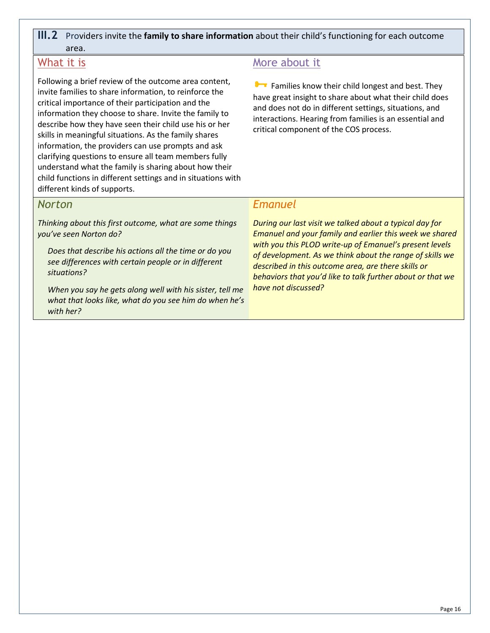## **III.2** Providers invite the **family to share information** about their child's functioning for each outcome area.

## What it is

Following a brief review of the outcome area content, invite families to share information, to reinforce the critical importance of their participation and the information they choose to share. Invite the family to describe how they have seen their child use his or her skills in meaningful situations. As the family shares information, the providers can use prompts and ask clarifying questions to ensure all team members fully understand what the family is sharing about how their child functions in different settings and in situations with different kinds of supports.

## More about it

**Families know their child longest and best. They** have great insight to share about what their child does and does not do in different settings, situations, and interactions. Hearing from families is an essential and critical component of the COS process.

## *Norton*

*Thinking about this first outcome, what are some things you've seen Norton do?* 

*Does that describe his actions all the time or do you see differences with certain people or in different situations?*

*When you say he gets along well with his sister, tell me what that looks like, what do you see him do when he's with her?*

## *Emanuel*

*During our last visit we talked about a typical day for Emanuel and your family and earlier this week we shared with you this PLOD write-up of Emanuel's present levels of development. As we think about the range of skills we described in this outcome area, are there skills or behaviors that you'd like to talk further about or that we have not discussed?*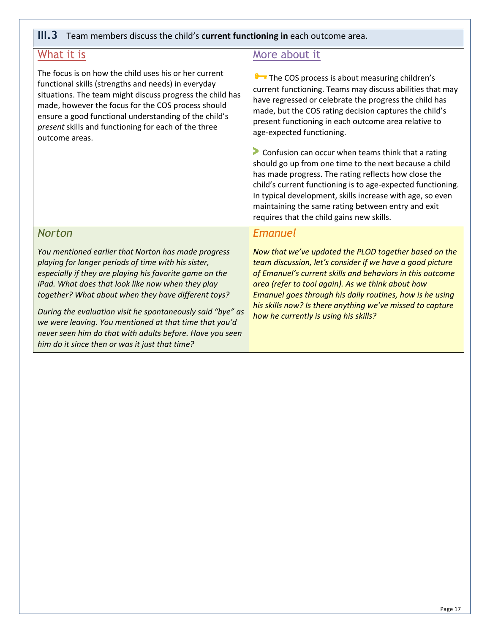#### **III.3** Team members discuss the child's **current functioning in** each outcome area.

## What it is

The focus is on how the child uses his or her current functional skills (strengths and needs) in everyday situations. The team might discuss progress the child has made, however the focus for the COS process should ensure a good functional understanding of the child's *present* skills and functioning for each of the three outcome areas.

## More about it

**The COS process is about measuring children's** current functioning. Teams may discuss abilities that may have regressed or celebrate the progress the child has made, but the COS rating decision captures the child's present functioning in each outcome area relative to age-expected functioning.

**>** Confusion can occur when teams think that a rating should go up from one time to the next because a child has made progress. The rating reflects how close the child's current functioning is to age-expected functioning. In typical development, skills increase with age, so even maintaining the same rating between entry and exit requires that the child gains new skills.

### *Norton*

*You mentioned earlier that Norton has made progress playing for longer periods of time with his sister, especially if they are playing his favorite game on the iPad. What does that look like now when they play together? What about when they have different toys?*

*During the evaluation visit he spontaneously said "bye" as we were leaving. You mentioned at that time that you'd never seen him do that with adults before. Have you seen him do it since then or was it just that time?* 

#### *Emanuel*

*Now that we've updated the PLOD together based on the team discussion, let's consider if we have a good picture of Emanuel's current skills and behaviors in this outcome area (refer to tool again). As we think about how Emanuel goes through his daily routines, how is he using his skills now? Is there anything we've missed to capture how he currently is using his skills?*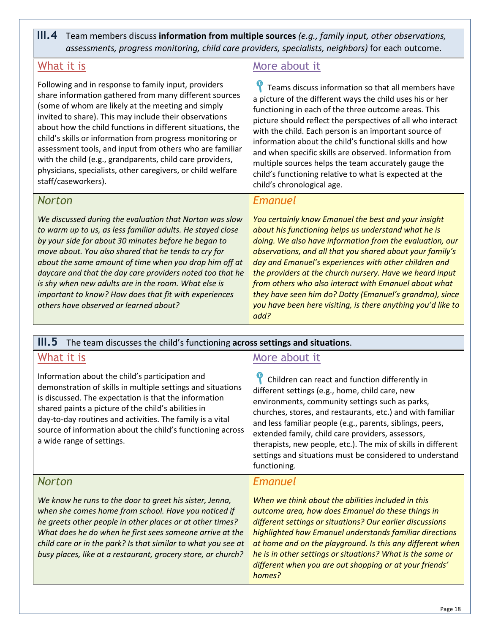**III.4** Team members discuss **information from multiple sources** *(e.g., family input, other observations, assessments, progress monitoring, child care providers, specialists, neighbors)* for each outcome.

## What it is

Following and in response to family input, providers share information gathered from many different sources (some of whom are likely at the meeting and simply invited to share). This may include their observations about how the child functions in different situations, the child's skills or information from progress monitoring or assessment tools, and input from others who are familiar with the child (e.g., grandparents, child care providers, physicians, specialists, other caregivers, or child welfare staff/caseworkers).

## *Norton*

*We discussed during the evaluation that Norton was slow to warm up to us, as less familiar adults. He stayed close by your side for about 30 minutes before he began to move about. You also shared that he tends to cry for about the same amount of time when you drop him off at daycare and that the day care providers noted too that he is shy when new adults are in the room. What else is important to know? How does that fit with experiences others have observed or learned about?* 

## More about it

**P** Teams discuss information so that all members have a picture of the different ways the child uses his or her functioning in each of the three outcome areas. This picture should reflect the perspectives of all who interact with the child. Each person is an important source of information about the child's functional skills and how and when specific skills are observed. Information from multiple sources helps the team accurately gauge the child's functioning relative to what is expected at the child's chronological age.

## *Emanuel*

*You certainly know Emanuel the best and your insight about his functioning helps us understand what he is doing. We also have information from the evaluation, our observations, and all that you shared about your family's day and Emanuel's experiences with other children and the providers at the church nursery. Have we heard input from others who also interact with Emanuel about what they have seen him do? Dotty (Emanuel's grandma), since you have been here visiting, is there anything you'd like to add?* 

## **III.5** The team discusses the child's functioning **across settings and situations**.

## What it is

Information about the child's participation and demonstration of skills in multiple settings and situations is discussed. The expectation is that the information shared paints a picture of the child's abilities in day-to-day routines and activities. The family is a vital source of information about the child's functioning across a wide range of settings.

## More about it

Children can react and function differently in different settings (e.g., home, child care, new environments, community settings such as parks, churches, stores, and restaurants, etc.) and with familiar and less familiar people (e.g., parents, siblings, peers, extended family, child care providers, assessors, therapists, new people, etc.). The mix of skills in different settings and situations must be considered to understand functioning.

## *Norton*

*We know he runs to the door to greet his sister, Jenna, when she comes home from school. Have you noticed if he greets other people in other places or at other times? What does he do when he first sees someone arrive at the child care or in the park? Is that similar to what you see at busy places, like at a restaurant, grocery store, or church?*

## *Emanuel*

*When we think about the abilities included in this outcome area, how does Emanuel do these things in different settings or situations? Our earlier discussions highlighted how Emanuel understands familiar directions at home and on the playground. Is this any different when he is in other settings or situations? What is the same or different when you are out shopping or at your friends' homes?*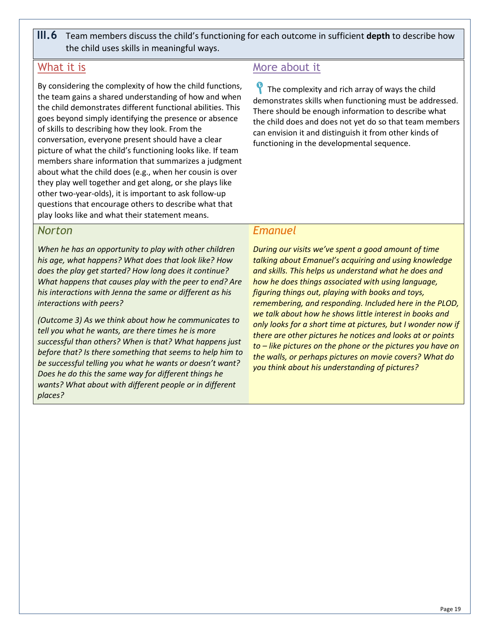**III.6** Team members discuss the child's functioning for each outcome in sufficient **depth** to describe how the child uses skills in meaningful ways.

## What it is

By considering the complexity of how the child functions, the team gains a shared understanding of how and when the child demonstrates different functional abilities. This goes beyond simply identifying the presence or absence of skills to describing how they look. From the conversation, everyone present should have a clear picture of what the child's functioning looks like. If team members share information that summarizes a judgment about what the child does (e.g., when her cousin is over they play well together and get along, or she plays like other two-year-olds), it is important to ask follow-up questions that encourage others to describe what that play looks like and what their statement means.

## More about it

 $\gamma$  The complexity and rich array of ways the child demonstrates skills when functioning must be addressed. There should be enough information to describe what the child does and does not yet do so that team members can envision it and distinguish it from other kinds of functioning in the developmental sequence.

## *Norton*

*When he has an opportunity to play with other children his age, what happens? What does that look like? How does the play get started? How long does it continue? What happens that causes play with the peer to end? Are his interactions with Jenna the same or different as his interactions with peers?* 

*(Outcome 3) As we think about how he communicates to tell you what he wants, are there times he is more successful than others? When is that? What happens just before that? Is there something that seems to help him to be successful telling you what he wants or doesn't want? Does he do this the same way for different things he wants? What about with different people or in different places?*

## *Emanuel*

*During our visits we've spent a good amount of time talking about Emanuel's acquiring and using knowledge and skills. This helps us understand what he does and how he does things associated with using language, figuring things out, playing with books and toys, remembering, and responding. Included here in the PLOD, we talk about how he shows little interest in books and only looks for a short time at pictures, but I wonder now if there are other pictures he notices and looks at or points to – like pictures on the phone or the pictures you have on the walls, or perhaps pictures on movie covers? What do you think about his understanding of pictures?*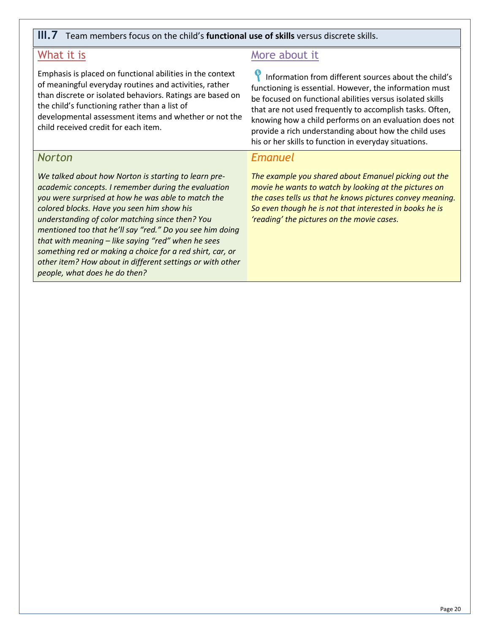#### **III.7** Team members focus on the child's **functional use of skills** versus discrete skills.

## What it is

Emphasis is placed on functional abilities in the context of meaningful everyday routines and activities, rather than discrete or isolated behaviors. Ratings are based on the child's functioning rather than a list of developmental assessment items and whether or not the child received credit for each item.

## *Norton*

*We talked about how Norton is starting to learn preacademic concepts. I remember during the evaluation you were surprised at how he was able to match the colored blocks. Have you seen him show his understanding of color matching since then? You mentioned too that he'll say "red." Do you see him doing that with meaning – like saying "red" when he sees something red or making a choice for a red shirt, car, or other item? How about in different settings or with other people, what does he do then?*

## More about it

**P** Information from different sources about the child's functioning is essential. However, the information must be focused on functional abilities versus isolated skills that are not used frequently to accomplish tasks. Often, knowing how a child performs on an evaluation does not provide a rich understanding about how the child uses his or her skills to function in everyday situations.

## *Emanuel*

*The example you shared about Emanuel picking out the movie he wants to watch by looking at the pictures on the cases tells us that he knows pictures convey meaning. So even though he is not that interested in books he is 'reading' the pictures on the movie cases.*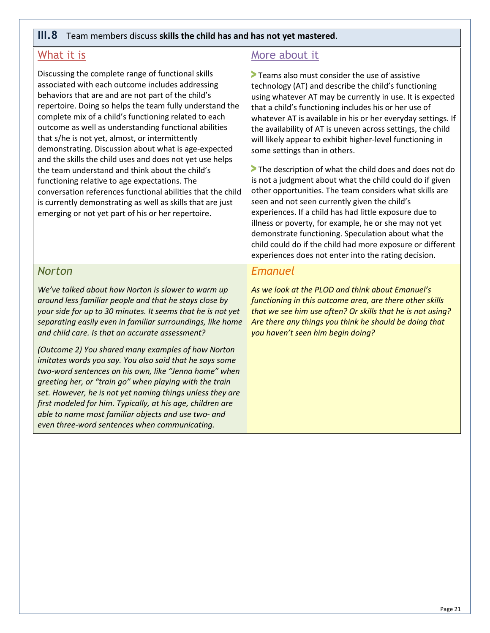#### **III.8** Team members discuss **skills the child has and has not yet mastered**.

## What it is

Discussing the complete range of functional skills associated with each outcome includes addressing behaviors that are and are not part of the child's repertoire. Doing so helps the team fully understand the complete mix of a child's functioning related to each outcome as well as understanding functional abilities that s/he is not yet, almost, or intermittently demonstrating. Discussion about what is age-expected and the skills the child uses and does not yet use helps the team understand and think about the child's functioning relative to age expectations. The conversation references functional abilities that the child is currently demonstrating as well as skills that are just emerging or not yet part of his or her repertoire.

## More about it

**>** Teams also must consider the use of assistive technology (AT) and describe the child's functioning using whatever AT may be currently in use. It is expected that a child's functioning includes his or her use of whatever AT is available in his or her everyday settings. If the availability of AT is uneven across settings, the child will likely appear to exhibit higher-level functioning in some settings than in others.

**>** The description of what the child does and does not do is not a judgment about what the child could do if given other opportunities. The team considers what skills are seen and not seen currently given the child's experiences. If a child has had little exposure due to illness or poverty, for example, he or she may not yet demonstrate functioning. Speculation about what the child could do if the child had more exposure or different experiences does not enter into the rating decision.

#### *Norton*

*We've talked about how Norton is slower to warm up around less familiar people and that he stays close by your side for up to 30 minutes. It seems that he is not yet separating easily even in familiar surroundings, like home and child care. Is that an accurate assessment?*

*(Outcome 2) You shared many examples of how Norton imitates words you say. You also said that he says some two-word sentences on his own, like "Jenna home" when greeting her, or "train go" when playing with the train set. However, he is not yet naming things unless they are first modeled for him. Typically, at his age, children are able to name most familiar objects and use two- and even three-word sentences when communicating.*

#### *Emanuel*

*As we look at the PLOD and think about Emanuel's functioning in this outcome area, are there other skills that we see him use often? Or skills that he is not using? Are there any things you think he should be doing that you haven't seen him begin doing?*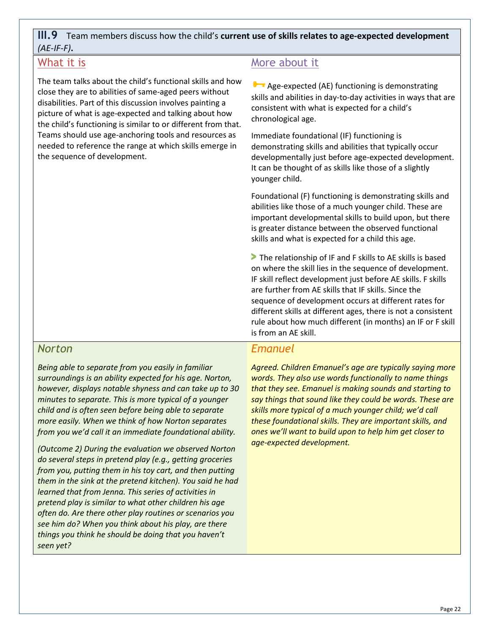## **III.9** Team members discuss how the child's **current use of skills relates to age-expected development**  *(AE-IF-F)***.**

## What it is

The team talks about the child's functional skills and how close they are to abilities of same-aged peers without disabilities. Part of this discussion involves painting a picture of what is age-expected and talking about how the child's functioning is similar to or different from that. Teams should use age-anchoring tools and resources as needed to reference the range at which skills emerge in the sequence of development.

## More about it

**B** Age-expected (AE) functioning is demonstrating skills and abilities in day-to-day activities in ways that are consistent with what is expected for a child's chronological age.

Immediate foundational (IF) functioning is demonstrating skills and abilities that typically occur developmentally just before age-expected development. It can be thought of as skills like those of a slightly younger child.

Foundational (F) functioning is demonstrating skills and abilities like those of a much younger child. These are important developmental skills to build upon, but there is greater distance between the observed functional skills and what is expected for a child this age.

**>** The relationship of IF and F skills to AE skills is based on where the skill lies in the sequence of development. IF skill reflect development just before AE skills. F skills are further from AE skills that IF skills. Since the sequence of development occurs at different rates for different skills at different ages, there is not a consistent rule about how much different (in months) an IF or F skill is from an AE skill.

## *Norton*

*Being able to separate from you easily in familiar surroundings is an ability expected for his age. Norton, however, displays notable shyness and can take up to 30 minutes to separate. This is more typical of a younger child and is often seen before being able to separate more easily. When we think of how Norton separates from you we'd call it an immediate foundational ability.* 

*(Outcome 2) During the evaluation we observed Norton do several steps in pretend play (e.g., getting groceries from you, putting them in his toy cart, and then putting them in the sink at the pretend kitchen). You said he had learned that from Jenna. This series of activities in pretend play is similar to what other children his age often do. Are there other play routines or scenarios you see him do? When you think about his play, are there things you think he should be doing that you haven't seen yet?*

## *Emanuel*

*Agreed. Children Emanuel's age are typically saying more words. They also use words functionally to name things that they see. Emanuel is making sounds and starting to say things that sound like they could be words. These are skills more typical of a much younger child; we'd call these foundational skills. They are important skills, and ones we'll want to build upon to help him get closer to age-expected development.*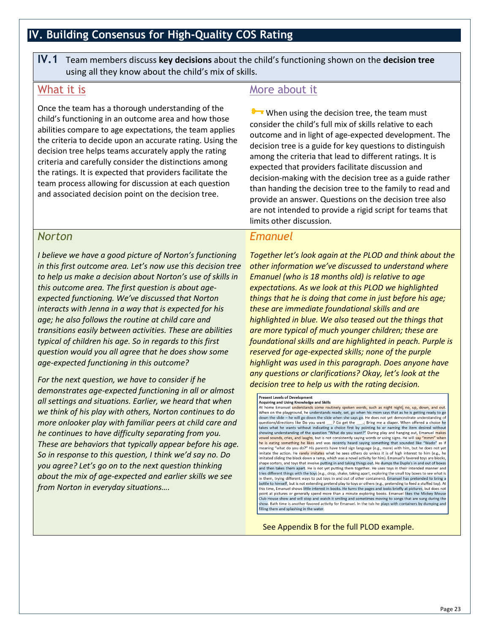## <span id="page-26-0"></span>**IV. Building Consensus for High-Quality COS Rating**

**IV.1** Team members discuss **key decisions** about the child's functioning shown on the **decision tree** using all they know about the child's mix of skills.

## What it is

Once the team has a thorough understanding of the child's functioning in an outcome area and how those abilities compare to age expectations, the team applies the criteria to decide upon an accurate rating. Using the decision tree helps teams accurately apply the rating criteria and carefully consider the distinctions among the ratings. It is expected that providers facilitate the team process allowing for discussion at each question and associated decision point on the decision tree.

## *Norton*

*I believe we have a good picture of Norton's functioning in this first outcome area. Let's now use this decision tree to help us make a decision about Norton's use of skills in this outcome area. The first question is about ageexpected functioning. We've discussed that Norton interacts with Jenna in a way that is expected for his age; he also follows the routine at child care and transitions easily between activities. These are abilities typical of children his age. So in regards to this first question would you all agree that he does show some age-expected functioning in this outcome?* 

*For the next question, we have to consider if he demonstrates age-expected functioning in all or almost all settings and situations. Earlier, we heard that when we think of his play with others, Norton continues to do more onlooker play with familiar peers at child care and he continues to have difficulty separating from you. These are behaviors that typically appear before his age. So in response to this question, I think we'd say no. Do you agree? Let's go on to the next question thinking about the mix of age-expected and earlier skills we see from Norton in everyday situations….*

## More about it

When using the decision tree, the team must consider the child's full mix of skills relative to each outcome and in light of age-expected development. The decision tree is a guide for key questions to distinguish among the criteria that lead to different ratings. It is expected that providers facilitate discussion and decision-making with the decision tree as a guide rather than handing the decision tree to the family to read and provide an answer. Questions on the decision tree also are not intended to provide a rigid script for teams that limits other discussion.

## *Emanuel*

*Together let's look again at the PLOD and think about the other information we've discussed to understand where Emanuel (who is 18 months old) is relative to age expectations. As we look at this PLOD we highlighted things that he is doing that come in just before his age; these are immediate foundational skills and are highlighted in blue. We also teased out the things that are more typical of much younger children; these are foundational skills and are highlighted in peach. Purple is reserved for age-expected skills; none of the purple highlight was used in this paragraph. Does anyone have any questions or clarifications? Okay, let's look at the decision tree to help us with the rating decision.* 

Present Levels of Development

Acquirin<mark>g and Using Knowledge and Skills</mark><br>At home Emanuel <mark>understands some routinely spoken words, such as night night, no, up, down, and out.</mark> When on the playground, he understands ready, set, go when his mom says that as he is getting ready to go<br>down the slide – he will go down the slide when she says go. He does not yet demonstrate understanding of questions/directions like Do you want  $\rightarrow$  Co get the  $\rightarrow$ ; Bring me a diaper. When offered a choice he takes what he wants without indicating a choice first by pointing to or naming the item desired without showing under vowel sounds, cri<mark>es, and laug</mark>hs, but is not consistently saying words or using signs. He will <mark>say "mmm" when</mark><br>he is eating something he likes and was recently heard saying something that sounded like "Wado" as if meaning "what do you do?" His parents have tried sign language (e.g., more) with him, but he does not yet imitate the action. He rarely imitates what he sees others do unless it is of high interest to him (e.g., here interest to him (e.g., here in the sees others do unless it is of high interest to him (e.g., here interest to shape sorters, and toys that involve putting in and taking things out. He dumps the Duplo's in and out of boxes<br>and then takes them apart. He is not yet putting them together. He uses toys in their intended manner and tries different things with the toys (e.g., drop, shake, taking apart, exploring the small toy boxes to see what is<br>in them, trying different ways to put toys in and out of other containers). Emanuel has pretended to bring this time, Emanuel shows little interest in books. He turns the pages and looks briefly at pictures, but does not<br>point at pictures or generally spend more than a minute exploring books. Emanuel likes the Mickey Mouse Club House show and will stop and watch it smiling and sometimes moving to songs that are sung during the show. Bath time is another favored activity for Emanuel. In the tub he plays with containers by dumping and<br>filling them and splashing in the water.

See Appendix B for the full PLOD example.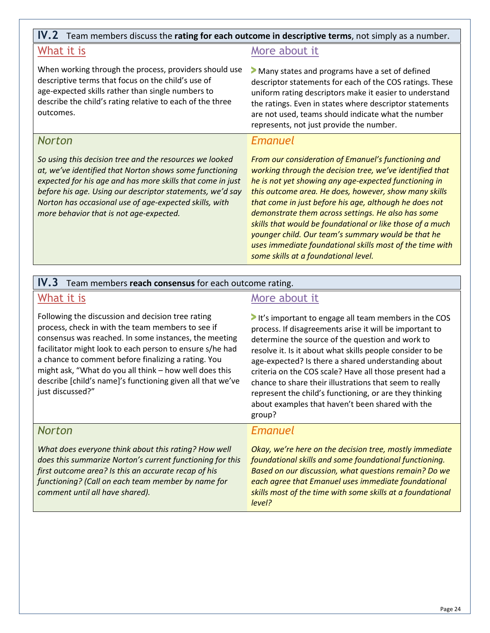## **IV.2** Team members discuss the **rating for each outcome in descriptive terms**, not simply as a number.

## What it is

When working through the process, providers should use descriptive terms that focus on the child's use of age-expected skills rather than single numbers to describe the child's rating relative to each of the three outcomes.

## *Norton*

*So using this decision tree and the resources we looked at, we've identified that Norton shows some functioning expected for his age and has more skills that come in just before his age. Using our descriptor statements, we'd say Norton has occasional use of age-expected skills, with more behavior that is not age-expected.* 

## More about it

**>** Many states and programs have a set of defined descriptor statements for each of the COS ratings. These uniform rating descriptors make it easier to understand the ratings. Even in states where descriptor statements are not used, teams should indicate what the number represents, not just provide the number.

#### *Emanuel*

*From our consideration of Emanuel's functioning and working through the decision tree, we've identified that he is not yet showing any age-expected functioning in this outcome area. He does, however, show many skills that come in just before his age, although he does not demonstrate them across settings. He also has some skills that would be foundational or like those of a much younger child. Our team's summary would be that he uses immediate foundational skills most of the time with some skills at a foundational level.* 

#### **IV.3** Team members **reach consensus** for each outcome rating.

#### What it is

Following the discussion and decision tree rating process, check in with the team members to see if consensus was reached. In some instances, the meeting facilitator might look to each person to ensure s/he had a chance to comment before finalizing a rating. You might ask, "What do you all think – how well does this describe [child's name]'s functioning given all that we've just discussed?"

#### More about it

**>** It's important to engage all team members in the COS process. If disagreements arise it will be important to determine the source of the question and work to resolve it. Is it about what skills people consider to be age-expected? Is there a shared understanding about criteria on the COS scale? Have all those present had a chance to share their illustrations that seem to really represent the child's functioning, or are they thinking about examples that haven't been shared with the group?

| <b>Norton</b> |  |  |
|---------------|--|--|
|               |  |  |

*What does everyone think about this rating? How well does this summarize Norton's current functioning for this first outcome area? Is this an accurate recap of his functioning? (Call on each team member by name for comment until all have shared).*

#### *Emanuel*

*Okay, we're here on the decision tree, mostly immediate foundational skills and some foundational functioning. Based on our discussion, what questions remain? Do we each agree that Emanuel uses immediate foundational skills most of the time with some skills at a foundational level?*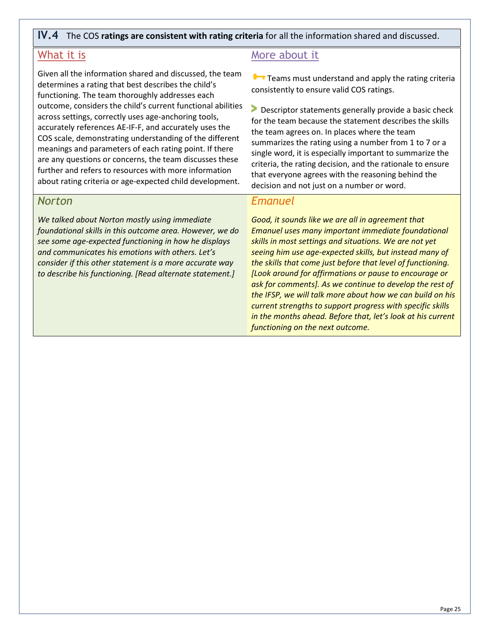#### **IV.4** The COS **ratings are consistent with rating criteria** for all the information shared and discussed.

## What it is

Given all the information shared and discussed, the team determines a rating that best describes the child's functioning. The team thoroughly addresses each outcome, considers the child's current functional abilities across settings, correctly uses age-anchoring tools, accurately references AE-IF-F, and accurately uses the COS scale, demonstrating understanding of the different meanings and parameters of each rating point. If there are any questions or concerns, the team discusses these further and refers to resources with more information about rating criteria or age-expected child development.

#### *Norton*

*We talked about Norton mostly using immediate foundational skills in this outcome area. However, we do see some age-expected functioning in how he displays and communicates his emotions with others. Let's consider if this other statement is a more accurate way to describe his functioning. [Read alternate statement.]* 

## More about it

**T** Teams must understand and apply the rating criteria consistently to ensure valid COS ratings.

**>** Descriptor statements generally provide a basic check for the team because the statement describes the skills the team agrees on. In places where the team summarizes the rating using a number from 1 to 7 or a single word, it is especially important to summarize the criteria, the rating decision, and the rationale to ensure that everyone agrees with the reasoning behind the decision and not just on a number or word.

#### *Emanuel*

*Good, it sounds like we are all in agreement that Emanuel uses many important immediate foundational skills in most settings and situations. We are not yet seeing him use age-expected skills, but instead many of the skills that come just before that level of functioning. [Look around for affirmations or pause to encourage or ask for comments]. As we continue to develop the rest of the IFSP, we will talk more about how we can build on his current strengths to support progress with specific skills in the months ahead. Before that, let's look at his current functioning on the next outcome.*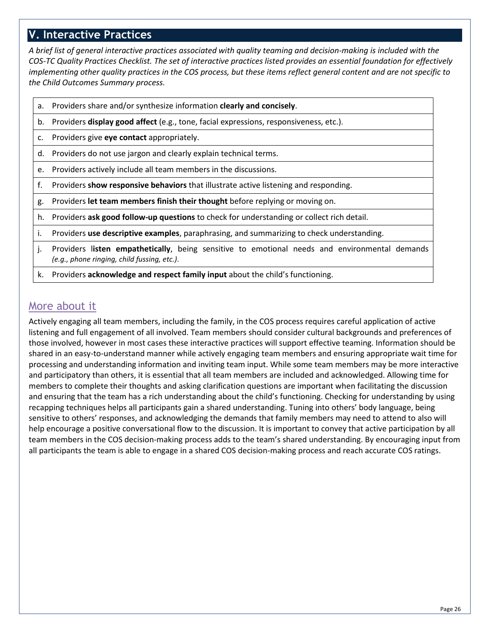## <span id="page-29-0"></span>**V. Interactive Practices**

*A brief list of general interactive practices associated with quality teaming and decision-making is included with the COS-TC Quality Practices Checklist. The set of interactive practices listed provides an essential foundation for effectively implementing other quality practices in the COS process, but these items reflect general content and are not specific to the Child Outcomes Summary process.* 

- a. Providers share and/or synthesize information **clearly and concisely**.
- b. Providers **display good affect** (e.g., tone, facial expressions, responsiveness, etc.).
- c. Providers give **eye contact** appropriately.
- d. Providers do not use jargon and clearly explain technical terms.
- e. Providers actively include all team members in the discussions.
- f. Providers **show responsive behaviors** that illustrate active listening and responding.
- g. Providers **let team members finish their thought** before replying or moving on.
- h. Providers **ask good follow-up questions** to check for understanding or collect rich detail.
- i. Providers **use descriptive examples**, paraphrasing, and summarizing to check understanding.
- j. Providers l**isten empathetically**, being sensitive to emotional needs and environmental demands *(e.g., phone ringing, child fussing, etc.)*.
- k. Providers **acknowledge and respect family input** about the child's functioning.

## More about it

Actively engaging all team members, including the family, in the COS process requires careful application of active listening and full engagement of all involved. Team members should consider cultural backgrounds and preferences of those involved, however in most cases these interactive practices will support effective teaming. Information should be shared in an easy-to-understand manner while actively engaging team members and ensuring appropriate wait time for processing and understanding information and inviting team input. While some team members may be more interactive and participatory than others, it is essential that all team members are included and acknowledged. Allowing time for members to complete their thoughts and asking clarification questions are important when facilitating the discussion and ensuring that the team has a rich understanding about the child's functioning. Checking for understanding by using recapping techniques helps all participants gain a shared understanding. Tuning into others' body language, being sensitive to others' responses, and acknowledging the demands that family members may need to attend to also will help encourage a positive conversational flow to the discussion. It is important to convey that active participation by all team members in the COS decision-making process adds to the team's shared understanding. By encouraging input from all participants the team is able to engage in a shared COS decision-making process and reach accurate COS ratings.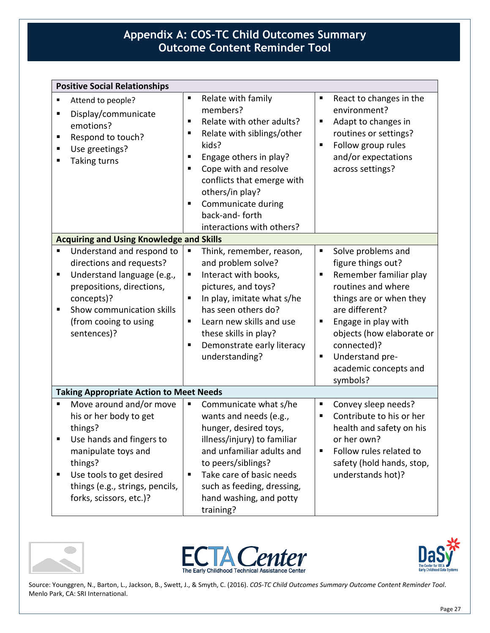## <span id="page-30-0"></span>**Appendix A: COS-TC Child Outcomes Summary Outcome Content Reminder Tool**

| <b>Positive Social Relationships</b>                                                                                                                                                                                            |                                                                                                                                                                                                                                                                                                                                                  |                                                                                                                                                                                                                                                                                      |
|---------------------------------------------------------------------------------------------------------------------------------------------------------------------------------------------------------------------------------|--------------------------------------------------------------------------------------------------------------------------------------------------------------------------------------------------------------------------------------------------------------------------------------------------------------------------------------------------|--------------------------------------------------------------------------------------------------------------------------------------------------------------------------------------------------------------------------------------------------------------------------------------|
| Attend to people?<br>٠<br>Display/communicate<br>٠<br>emotions?<br>Respond to touch?<br>Ξ<br>Use greetings?<br>Е<br><b>Taking turns</b><br>٠                                                                                    | Relate with family<br>$\blacksquare$<br>members?<br>Relate with other adults?<br>$\blacksquare$<br>Relate with siblings/other<br>Е<br>kids?<br>Engage others in play?<br>П<br>Cope with and resolve<br>٠<br>conflicts that emerge with<br>others/in play?<br>Communicate during<br>$\blacksquare$<br>back-and-forth<br>interactions with others? | React to changes in the<br>٠<br>environment?<br>Adapt to changes in<br>п<br>routines or settings?<br>Follow group rules<br>٠<br>and/or expectations<br>across settings?                                                                                                              |
| <b>Acquiring and Using Knowledge and Skills</b>                                                                                                                                                                                 |                                                                                                                                                                                                                                                                                                                                                  |                                                                                                                                                                                                                                                                                      |
| Understand and respond to<br>П<br>directions and requests?<br>Understand language (e.g.,<br>П<br>prepositions, directions,<br>concepts)?<br>Show communication skills<br>$\blacksquare$<br>(from cooing to using<br>sentences)? | Think, remember, reason,<br>$\blacksquare$<br>and problem solve?<br>Interact with books,<br>п<br>pictures, and toys?<br>In play, imitate what s/he<br>П<br>has seen others do?<br>Learn new skills and use<br>$\blacksquare$<br>these skills in play?<br>Demonstrate early literacy<br>п<br>understanding?                                       | ٠<br>Solve problems and<br>figure things out?<br>Remember familiar play<br>٠<br>routines and where<br>things are or when they<br>are different?<br>Engage in play with<br>п<br>objects (how elaborate or<br>connected)?<br>Understand pre-<br>٠<br>academic concepts and<br>symbols? |
| <b>Taking Appropriate Action to Meet Needs</b>                                                                                                                                                                                  |                                                                                                                                                                                                                                                                                                                                                  |                                                                                                                                                                                                                                                                                      |
| Move around and/or move<br>П<br>his or her body to get<br>things?<br>Use hands and fingers to<br>manipulate toys and<br>things?<br>Use tools to get desired<br>Е<br>things (e.g., strings, pencils,<br>forks, scissors, etc.)?  | Communicate what s/he<br>П<br>wants and needs (e.g.,<br>hunger, desired toys,<br>illness/injury) to familiar<br>and unfamiliar adults and<br>to peers/siblings?<br>Take care of basic needs<br>п<br>such as feeding, dressing,<br>hand washing, and potty<br>training?                                                                           | Convey sleep needs?<br>п<br>Contribute to his or her<br>٠<br>health and safety on his<br>or her own?<br>Follow rules related to<br>п<br>safety (hold hands, stop,<br>understands hot)?                                                                                               |







Source: Younggren, N., Barton, L., Jackson, B., Swett, J., & Smyth, C. (2016). *COS-TC Child Outcomes Summary Outcome Content Reminder Tool*. Menlo Park, CA: SRI International.